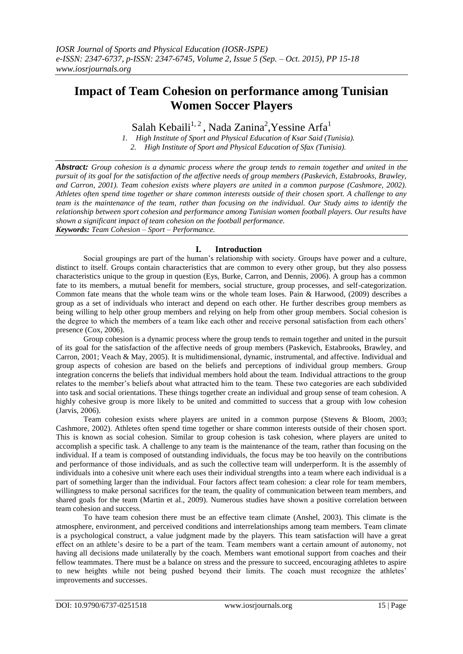# **Impact of Team Cohesion on performance among Tunisian Women Soccer Players**

Salah Kebaili<sup>1,2</sup>, Nada Zanina<sup>2</sup>, Yessine Arfa<sup>1</sup>

*1. High Institute of Sport and Physical Education of Ksar Said (Tunisia). 2. High Institute of Sport and Physical Education of Sfax (Tunisia).*

*Abstract: Group cohesion is a dynamic process where the group tends to remain together and united in the pursuit of its goal for the satisfaction of the affective needs of group members (Paskevich, Estabrooks, Brawley, and Carron, 2001). Team cohesion exists where players are united in a common purpose (Cashmore, 2002). Athletes often spend time together or share common interests outside of their chosen sport. A challenge to any team is the maintenance of the team, rather than focusing on the individual. Our Study aims to identify the relationship between sport cohesion and performance among Tunisian women football players. Our results have shown a significant impact of team cohesion on the football performance. Keywords: Team Cohesion – Sport – Performance.*

## **I. Introduction**

Social groupings are part of the human's relationship with society. Groups have power and a culture, distinct to itself. Groups contain characteristics that are common to every other group, but they also possess characteristics unique to the group in question (Eys, Burke, Carron, and Dennis, 2006). A group has a common fate to its members, a mutual benefit for members, social structure, group processes, and self-categorization. Common fate means that the whole team wins or the whole team loses. Pain & Harwood, (2009) describes a group as a set of individuals who interact and depend on each other. He further describes group members as being willing to help other group members and relying on help from other group members. Social cohesion is the degree to which the members of a team like each other and receive personal satisfaction from each others' presence (Cox, 2006).

Group cohesion is a dynamic process where the group tends to remain together and united in the pursuit of its goal for the satisfaction of the affective needs of group members (Paskevich, Estabrooks, Brawley, and Carron, 2001; Veach & May, 2005). It is multidimensional, dynamic, instrumental, and affective. Individual and group aspects of cohesion are based on the beliefs and perceptions of individual group members. Group integration concerns the beliefs that individual members hold about the team. Individual attractions to the group relates to the member's beliefs about what attracted him to the team. These two categories are each subdivided into task and social orientations. These things together create an individual and group sense of team cohesion. A highly cohesive group is more likely to be united and committed to success that a group with low cohesion (Jarvis, 2006).

Team cohesion exists where players are united in a common purpose (Stevens & Bloom, 2003; Cashmore, 2002). Athletes often spend time together or share common interests outside of their chosen sport. This is known as social cohesion. Similar to group cohesion is task cohesion, where players are united to accomplish a specific task. A challenge to any team is the maintenance of the team, rather than focusing on the individual. If a team is composed of outstanding individuals, the focus may be too heavily on the contributions and performance of those individuals, and as such the collective team will underperform. It is the assembly of individuals into a cohesive unit where each uses their individual strengths into a team where each individual is a part of something larger than the individual. Four factors affect team cohesion: a clear role for team members, willingness to make personal sacrifices for the team, the quality of communication between team members, and shared goals for the team (Martin et al., 2009). Numerous studies have shown a positive correlation between team cohesion and success.

To have team cohesion there must be an effective team climate (Anshel, 2003). This climate is the atmosphere, environment, and perceived conditions and interrelationships among team members. Team climate is a psychological construct, a value judgment made by the players. This team satisfaction will have a great effect on an athlete's desire to be a part of the team. Team members want a certain amount of autonomy, not having all decisions made unilaterally by the coach. Members want emotional support from coaches and their fellow teammates. There must be a balance on stress and the pressure to succeed, encouraging athletes to aspire to new heights while not being pushed beyond their limits. The coach must recognize the athletes' improvements and successes.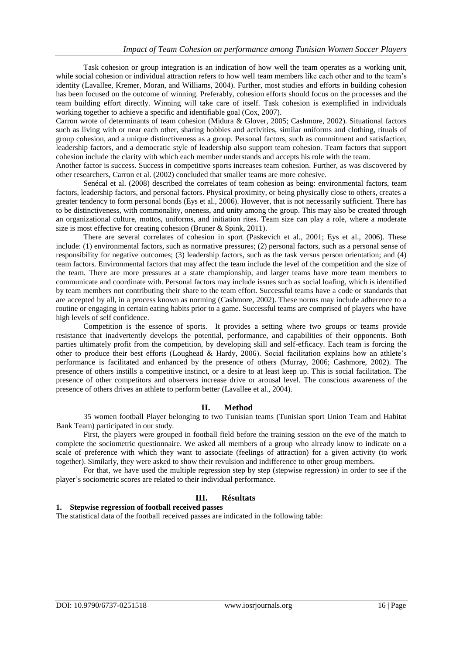Task cohesion or group integration is an indication of how well the team operates as a working unit, while social cohesion or individual attraction refers to how well team members like each other and to the team's identity (Lavallee, Kremer, Moran, and Williams, 2004). Further, most studies and efforts in building cohesion has been focused on the outcome of winning. Preferably, cohesion efforts should focus on the processes and the team building effort directly. Winning will take care of itself. Task cohesion is exemplified in individuals working together to achieve a specific and identifiable goal (Cox, 2007).

Carron wrote of determinants of team cohesion (Midura & Glover, 2005; Cashmore, 2002). Situational factors such as living with or near each other, sharing hobbies and activities, similar uniforms and clothing, rituals of group cohesion, and a unique distinctiveness as a group. Personal factors, such as commitment and satisfaction, leadership factors, and a democratic style of leadership also support team cohesion. Team factors that support cohesion include the clarity with which each member understands and accepts his role with the team.

Another factor is success. Success in competitive sports increases team cohesion. Further, as was discovered by other researchers, Carron et al. (2002) concluded that smaller teams are more cohesive.

Senécal et al. (2008) described the correlates of team cohesion as being: environmental factors, team factors, leadership factors, and personal factors. Physical proximity, or being physically close to others, creates a greater tendency to form personal bonds (Eys et al., 2006). However, that is not necessarily sufficient. There has to be distinctiveness, with commonality, oneness, and unity among the group. This may also be created through an organizational culture, mottos, uniforms, and initiation rites. Team size can play a role, where a moderate size is most effective for creating cohesion (Bruner & Spink, 2011).

There are several correlates of cohesion in sport (Paskevich et al., 2001; Eys et al., 2006). These include: (1) environmental factors, such as normative pressures; (2) personal factors, such as a personal sense of responsibility for negative outcomes; (3) leadership factors, such as the task versus person orientation; and (4) team factors. Environmental factors that may affect the team include the level of the competition and the size of the team. There are more pressures at a state championship, and larger teams have more team members to communicate and coordinate with. Personal factors may include issues such as social loafing, which is identified by team members not contributing their share to the team effort. Successful teams have a code or standards that are accepted by all, in a process known as norming (Cashmore, 2002). These norms may include adherence to a routine or engaging in certain eating habits prior to a game. Successful teams are comprised of players who have high levels of self confidence.

Competition is the essence of sports. It provides a setting where two groups or teams provide resistance that inadvertently develops the potential, performance, and capabilities of their opponents. Both parties ultimately profit from the competition, by developing skill and self-efficacy. Each team is forcing the other to produce their best efforts (Loughead & Hardy, 2006). Social facilitation explains how an athlete's performance is facilitated and enhanced by the presence of others (Murray, 2006; Cashmore, 2002). The presence of others instills a competitive instinct, or a desire to at least keep up. This is social facilitation. The presence of other competitors and observers increase drive or arousal level. The conscious awareness of the presence of others drives an athlete to perform better (Lavallee et al., 2004).

#### **II. Method**

35 women football Player belonging to two Tunisian teams (Tunisian sport Union Team and Habitat Bank Team) participated in our study.

First, the players were grouped in football field before the training session on the eve of the match to complete the sociometric questionnaire. We asked all members of a group who already know to indicate on a scale of preference with which they want to associate (feelings of attraction) for a given activity (to work together). Similarly, they were asked to show their revulsion and indifference to other group members.

For that, we have used the multiple regression step by step (stepwise regression) in order to see if the player's sociometric scores are related to their individual performance.

### **III. Résultats**

#### **1. Stepwise regression of football received passes**

The statistical data of the football received passes are indicated in the following table: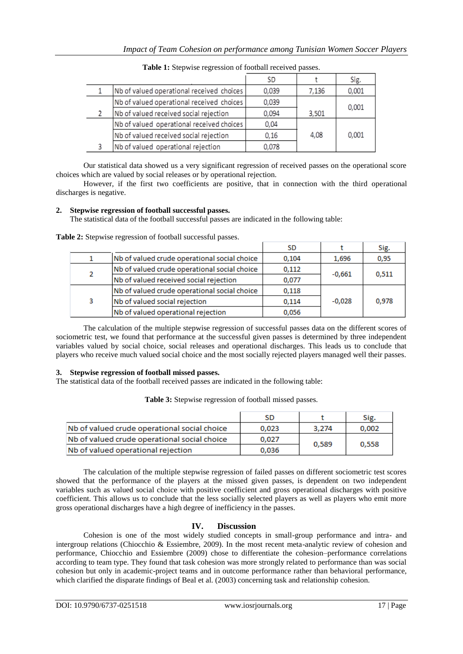|                                           | SD    |       | Sig.  |
|-------------------------------------------|-------|-------|-------|
| Nb of valued operational received choices | 0,039 | 7,136 | 0,001 |
| Nb of valued operational received choices | 0,039 |       | 0,001 |
| Nb of valued received social rejection    | 0,094 | 3,501 |       |
| Nb of valued operational received choices | 0,04  |       |       |
| Nb of valued received social rejection    | 0,16  | 4,08  | 0,001 |
| Nb of valued operational rejection        | 0,078 |       |       |
|                                           |       |       |       |

**Table 1:** Stepwise regression of football received passes.

Our statistical data showed us a very significant regression of received passes on the operational score choices which are valued by social releases or by operational rejection.

However, if the first two coefficients are positive, that in connection with the third operational discharges is negative.

## **2. Stepwise regression of football successful passes.**

The statistical data of the football successful passes are indicated in the following table:

|   |                                              | SD.   |          | Sig.  |
|---|----------------------------------------------|-------|----------|-------|
|   | Nb of valued crude operational social choice | 0,104 | 1,696    | 0,95  |
| 2 | Nb of valued crude operational social choice | 0,112 | $-0,661$ | 0,511 |
|   | Nb of valued received social rejection       | 0,077 |          |       |
|   | Nb of valued crude operational social choice | 0,118 | $-0.028$ | 0.978 |
| 3 | Nb of valued social rejection                | 0,114 |          |       |
|   | Nb of valued operational rejection           | 0,056 |          |       |

**Table 2:** Stepwise regression of football successful passes.

The calculation of the multiple stepwise regression of successful passes data on the different scores of sociometric test, we found that performance at the successful given passes is determined by three independent variables valued by social choice, social releases and operational discharges. This leads us to conclude that players who receive much valued social choice and the most socially rejected players managed well their passes.

## **3. Stepwise regression of football missed passes.**

Nb of valued operational rejection

The statistical data of the football received passes are indicated in the following table:

| ralued crude operational social choice. |  |  |
|-----------------------------------------|--|--|

**Table 3:** Stepwise regression of football missed passes.

|                                              | SD    |       |       |
|----------------------------------------------|-------|-------|-------|
| Nb of valued crude operational social choice | 0.023 | 3.274 | 0.002 |
| Nb of valued crude operational social choice | 0.027 | 0.589 |       |
|                                              |       |       |       |

The calculation of the multiple stepwise regression of failed passes on different sociometric test scores showed that the performance of the players at the missed given passes, is dependent on two independent variables such as valued social choice with positive coefficient and gross operational discharges with positive coefficient. This allows us to conclude that the less socially selected players as well as players who emit more gross operational discharges have a high degree of inefficiency in the passes.

## **IV. Discussion**

Cohesion is one of the most widely studied concepts in small-group performance and intra- and intergroup relations (Chiocchio & Essiembre, 2009). In the most recent meta-analytic review of cohesion and performance, Chiocchio and Essiembre (2009) chose to differentiate the cohesion–performance correlations according to team type. They found that task cohesion was more strongly related to performance than was social cohesion but only in academic-project teams and in outcome performance rather than behavioral performance, which clarified the disparate findings of Beal et al. (2003) concerning task and relationship cohesion.

0,036